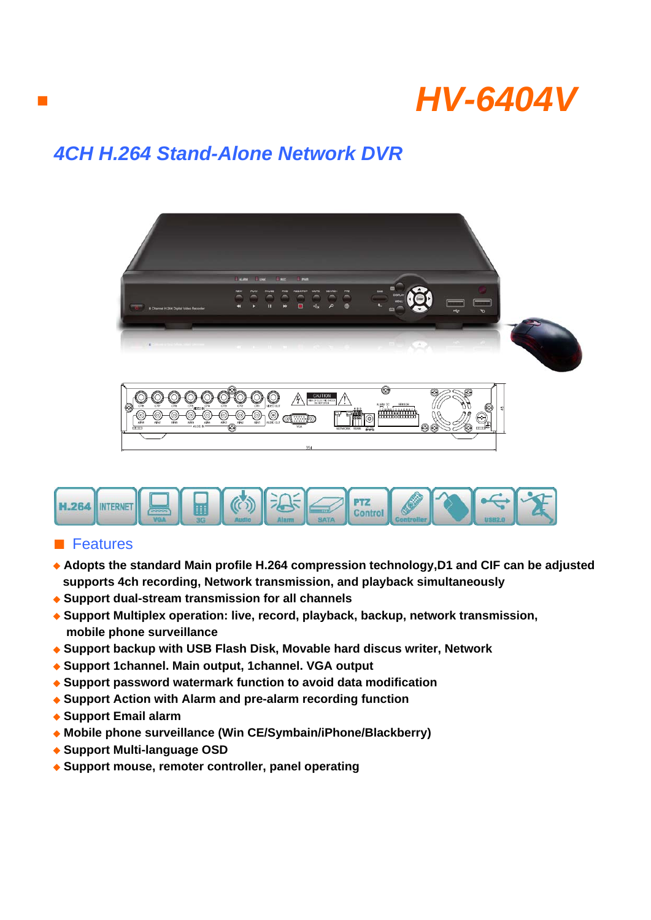

## *4CH H.264 Stand-Alone Network DVR*





## ■ Features

■

- ◆ Adopts the standard Main profile H.264 compression technology, D1 and CIF can be adjusted  **supports 4ch recording, Network transmission, and playback simultaneously**
- ◆ **Support dual-stream transmission for all channels**
- ◆ **Support Multiplex operation: live, record, playback, backup, network transmission, mobile phone surveillance**
- ◆ **Support backup with USB Flash Disk, Movable hard discus writer, Network**
- ◆ **Support 1channel. Main output, 1channel. VGA output**
- ◆ Support password watermark function to avoid data modification
- ◆ Support Action with Alarm and pre-alarm recording function
- ◆ **Support Email alarm**
- ◆ **Mobile phone surveillance (Win CE/Symbain/iPhone/Blackberry)**
- ◆ **Support Multi-language OSD**
- ◆ **Support mouse, remoter controller, panel operating**